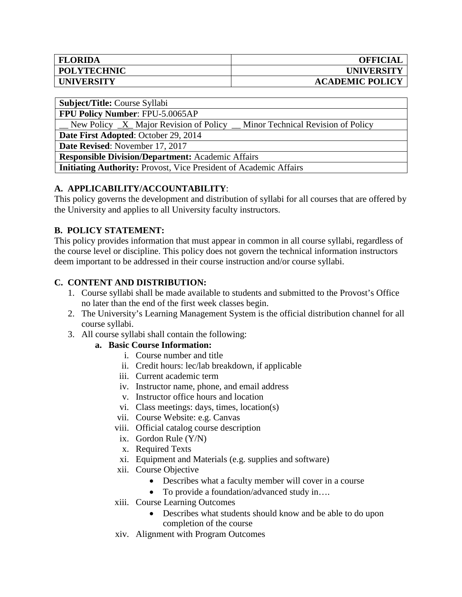| <b>FLORIDA</b>     | <b>OFFICIAL</b>        |
|--------------------|------------------------|
| <b>POLYTECHNIC</b> | <b>UNIVERSITY</b>      |
| <b>UNIVERSITY</b>  | <b>ACADEMIC POLICY</b> |

**Subject/Title:** Course Syllabi

**FPU Policy Number**: FPU-5.0065AP

New Policy  $X$  Major Revision of Policy  $\Box$  Minor Technical Revision of Policy

**Date First Adopted**: October 29, 2014

**Date Revised**: November 17, 2017

**Responsible Division/Department:** Academic Affairs

**Initiating Authority:** Provost, Vice President of Academic Affairs

### **A. APPLICABILITY/ACCOUNTABILITY**:

This policy governs the development and distribution of syllabi for all courses that are offered by the University and applies to all University faculty instructors.

## **B. POLICY STATEMENT:**

This policy provides information that must appear in common in all course syllabi, regardless of the course level or discipline. This policy does not govern the technical information instructors deem important to be addressed in their course instruction and/or course syllabi.

## **C. CONTENT AND DISTRIBUTION:**

- 1. Course syllabi shall be made available to students and submitted to the Provost's Office no later than the end of the first week classes begin.
- 2. The University's Learning Management System is the official distribution channel for all course syllabi.
- 3. All course syllabi shall contain the following:

#### **a. Basic Course Information:**

- i. Course number and title
- ii. Credit hours: lec/lab breakdown, if applicable
- iii. Current academic term
- iv. Instructor name, phone, and email address
- v. Instructor office hours and location
- vi. Class meetings: days, times, location(s)
- vii. Course Website: e.g. Canvas
- viii. Official catalog course description
- ix. Gordon Rule (Y/N)
- x. Required Texts
- xi. Equipment and Materials (e.g. supplies and software)
- xii. Course Objective
	- Describes what a faculty member will cover in a course
	- To provide a foundation/advanced study in....
- xiii. Course Learning Outcomes
	- Describes what students should know and be able to do upon completion of the course
- xiv. Alignment with Program Outcomes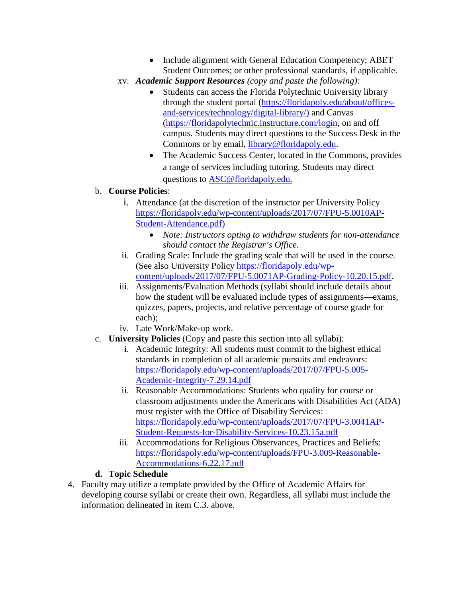- Include alignment with General Education Competency; ABET Student Outcomes; or other professional standards, if applicable.
- xv. *Academic Support Resources (copy and paste the following):*
	- Students can access the Florida Polytechnic University library through the student portal [\(https://floridapoly.edu/about/offices](https://floridapoly.edu/about/offices-and-services/technology/digital-library/)[and-services/technology/digital-library/\)](https://floridapoly.edu/about/offices-and-services/technology/digital-library/) and Canvas [\(https://floridapolytechnic.instructure.com/login,](https://floridapolytechnic.instructure.com/login) on and off campus. Students may direct questions to the Success Desk in the Commons or by email, [library@floridapoly.edu.](mailto:library@floridapoly.edu)
	- The Academic Success Center, located in the Commons, provides a range of services including tutoring. Students may direct questions to [ASC@floridapoly.edu.](mailto:ASC@floridapoly.edu)

## b. **Course Policies**:

- i. Attendance (at the discretion of the instructor per University Policy [https://floridapoly.edu/wp-content/uploads/2017/07/FPU-5.0010AP-](https://floridapoly.edu/wp-content/uploads/2017/07/FPU-5.0010AP-Student-Attendance.pdf)[Student-Attendance.pdf\)](https://floridapoly.edu/wp-content/uploads/2017/07/FPU-5.0010AP-Student-Attendance.pdf)
	- *Note: Instructors opting to withdraw students for non-attendance should contact the Registrar's Office.*
- ii. Grading Scale: Include the grading scale that will be used in the course. (See also University Policy [https://floridapoly.edu/wp](https://floridapoly.edu/wp-content/uploads/2017/07/FPU-5.0071AP-Grading-Policy-10.20.15.pdf)[content/uploads/2017/07/FPU-5.0071AP-Grading-Policy-10.20.15.pdf.](https://floridapoly.edu/wp-content/uploads/2017/07/FPU-5.0071AP-Grading-Policy-10.20.15.pdf)
- iii. Assignments/Evaluation Methods (syllabi should include details about how the student will be evaluated include types of assignments—exams, quizzes, papers, projects, and relative percentage of course grade for each);
- iv. Late Work/Make-up work.
- c. **University Policies** (Copy and paste this section into all syllabi):
	- i. Academic Integrity: All students must commit to the highest ethical standards in completion of all academic pursuits and endeavors: [https://floridapoly.edu/wp-content/uploads/2017/07/FPU-5.005-](https://floridapoly.edu/wp-content/uploads/2017/07/FPU-5.005-Academic-Integrity-7.29.14.pdf) [Academic-Integrity-7.29.14.pdf](https://floridapoly.edu/wp-content/uploads/2017/07/FPU-5.005-Academic-Integrity-7.29.14.pdf)
	- ii. Reasonable Accommodations: Students who quality for course or classroom adjustments under the Americans with Disabilities Act (ADA) must register with the Office of Disability Services: [https://floridapoly.edu/wp-content/uploads/2017/07/FPU-3.0041AP-](https://floridapoly.edu/wp-content/uploads/2017/07/FPU-3.0041AP-Student-Requests-for-Disability-Services-10.23.15a.pdf)[Student-Requests-for-Disability-Services-10.23.15a.pdf](https://floridapoly.edu/wp-content/uploads/2017/07/FPU-3.0041AP-Student-Requests-for-Disability-Services-10.23.15a.pdf)
	- iii. Accommodations for Religious Observances, Practices and Beliefs: [https://floridapoly.edu/wp-content/uploads/FPU-3.009-Reasonable-](https://floridapoly.edu/wp-content/uploads/FPU-3.009-Reasonable-Accommodations-6.22.17.pdf)[Accommodations-6.22.17.pdf](https://floridapoly.edu/wp-content/uploads/FPU-3.009-Reasonable-Accommodations-6.22.17.pdf)

# **d. Topic Schedule**

4. Faculty may utilize a template provided by the Office of Academic Affairs for developing course syllabi or create their own. Regardless, all syllabi must include the information delineated in item C.3. above.